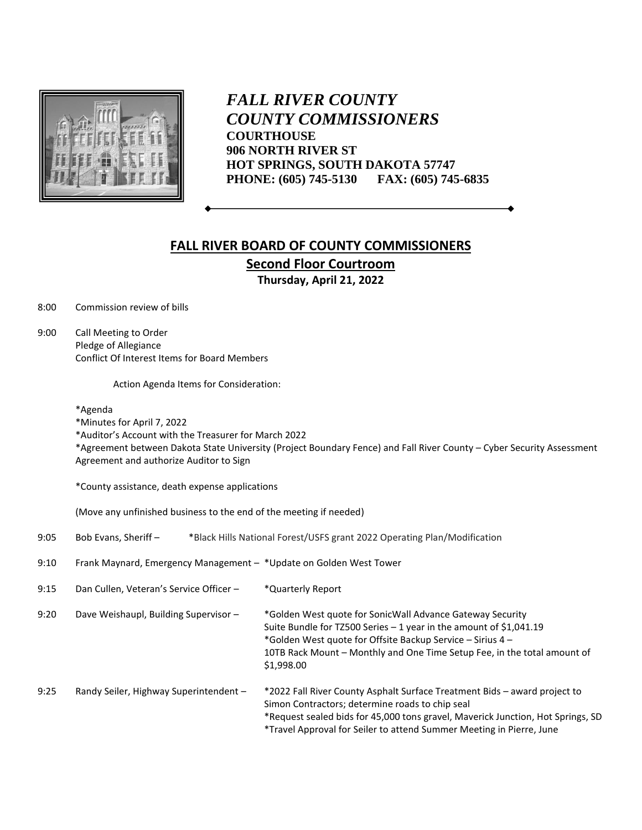

*FALL RIVER COUNTY COUNTY COMMISSIONERS* **COURTHOUSE 906 NORTH RIVER ST HOT SPRINGS, SOUTH DAKOTA 57747 PHONE: (605) 745-5130 FAX: (605) 745-6835**

# **FALL RIVER BOARD OF COUNTY COMMISSIONERS Second Floor Courtroom Thursday, April 21, 2022**

8:00 Commission review of bills

9:00 Call Meeting to Order Pledge of Allegiance Conflict Of Interest Items for Board Members

Action Agenda Items for Consideration:

#### \*Agenda

\*Minutes for April 7, 2022

\*Auditor's Account with the Treasurer for March 2022

\*Agreement between Dakota State University (Project Boundary Fence) and Fall River County – Cyber Security Assessment Agreement and authorize Auditor to Sign

\*County assistance, death expense applications

(Move any unfinished business to the end of the meeting if needed)

| 9:05 | Bob Evans, Sheriff -                                               | *Black Hills National Forest/USFS grant 2022 Operating Plan/Modification                                                                                                                                                                                                                |
|------|--------------------------------------------------------------------|-----------------------------------------------------------------------------------------------------------------------------------------------------------------------------------------------------------------------------------------------------------------------------------------|
| 9:10 | Frank Maynard, Emergency Management - *Update on Golden West Tower |                                                                                                                                                                                                                                                                                         |
| 9:15 | Dan Cullen, Veteran's Service Officer -                            | *Quarterly Report                                                                                                                                                                                                                                                                       |
| 9:20 | Dave Weishaupl, Building Supervisor -                              | *Golden West quote for SonicWall Advance Gateway Security<br>Suite Bundle for TZ500 Series - 1 year in the amount of \$1,041.19<br>*Golden West quote for Offsite Backup Service - Sirius 4 -<br>10TB Rack Mount - Monthly and One Time Setup Fee, in the total amount of<br>\$1,998.00 |
| 9:25 | Randy Seiler, Highway Superintendent -                             | *2022 Fall River County Asphalt Surface Treatment Bids - award project to<br>Simon Contractors; determine roads to chip seal<br>*Request sealed bids for 45,000 tons gravel, Maverick Junction, Hot Springs, SD<br>*Travel Approval for Seiler to attend Summer Meeting in Pierre, June |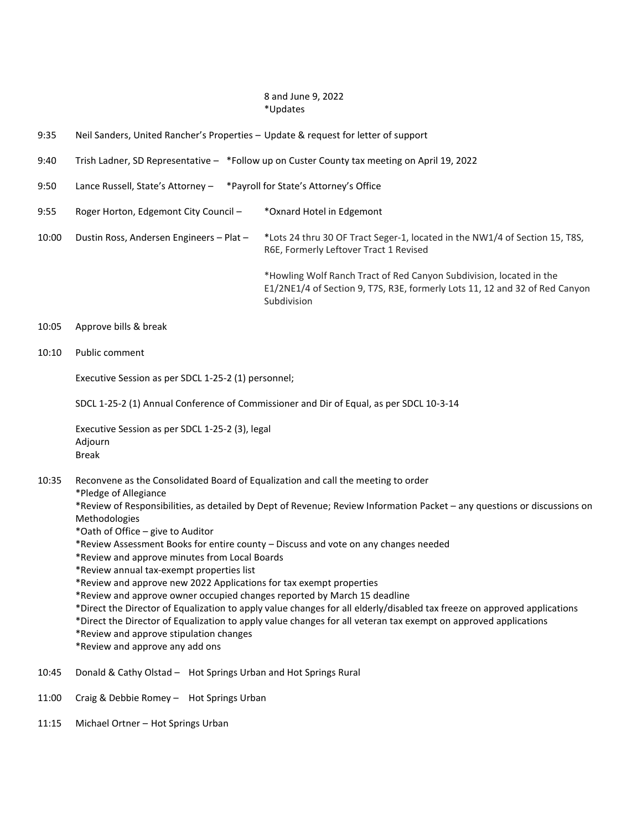## 8 and June 9, 2022 \*Updates

- 9:35 Neil Sanders, United Rancher's Properties Update & request for letter of support
- 9:40 Trish Ladner, SD Representative \*Follow up on Custer County tax meeting on April 19, 2022
- 9:50 Lance Russell, State's Attorney \*Payroll for State's Attorney's Office
- 9:55 Roger Horton, Edgemont City Council \* Oxnard Hotel in Edgemont
- 10:00 Dustin Ross, Andersen Engineers Plat \*Lots 24 thru 30 OF Tract Seger-1, located in the NW1/4 of Section 15, T8S, R6E, Formerly Leftover Tract 1 Revised

\*Howling Wolf Ranch Tract of Red Canyon Subdivision, located in the E1/2NE1/4 of Section 9, T7S, R3E, formerly Lots 11, 12 and 32 of Red Canyon Subdivision

#### 10:05 Approve bills & break

10:10 Public comment

Executive Session as per SDCL 1-25-2 (1) personnel;

SDCL 1-25-2 (1) Annual Conference of Commissioner and Dir of Equal, as per SDCL 10-3-14

Executive Session as per SDCL 1-25-2 (3), legal Adjourn Break

- 10:35 Reconvene as the Consolidated Board of Equalization and call the meeting to order
	- \*Pledge of Allegiance

\*Review of Responsibilities, as detailed by Dept of Revenue; Review Information Packet – any questions or discussions on Methodologies

- \*Oath of Office give to Auditor
- \*Review Assessment Books for entire county Discuss and vote on any changes needed
- \*Review and approve minutes from Local Boards
- \*Review annual tax-exempt properties list
- \*Review and approve new 2022 Applications for tax exempt properties
- \*Review and approve owner occupied changes reported by March 15 deadline
- \*Direct the Director of Equalization to apply value changes for all elderly/disabled tax freeze on approved applications
- \*Direct the Director of Equalization to apply value changes for all veteran tax exempt on approved applications
- \*Review and approve stipulation changes
- \*Review and approve any add ons
- 10:45 Donald & Cathy Olstad Hot Springs Urban and Hot Springs Rural
- 11:00 Craig & Debbie Romey Hot Springs Urban
- 11:15 Michael Ortner Hot Springs Urban